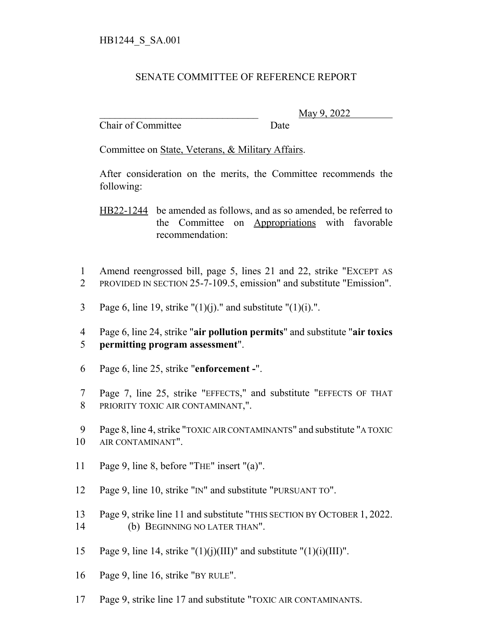## SENATE COMMITTEE OF REFERENCE REPORT

Chair of Committee Date

\_\_\_\_\_\_\_\_\_\_\_\_\_\_\_\_\_\_\_\_\_\_\_\_\_\_\_\_\_\_\_ May 9, 2022

Committee on State, Veterans, & Military Affairs.

After consideration on the merits, the Committee recommends the following:

HB22-1244 be amended as follows, and as so amended, be referred to the Committee on Appropriations with favorable recommendation:

1 Amend reengrossed bill, page 5, lines 21 and 22, strike "EXCEPT AS 2 PROVIDED IN SECTION 25-7-109.5, emission" and substitute "Emission".

3 Page 6, line 19, strike " $(1)(i)$ ." and substitute " $(1)(i)$ .".

4 Page 6, line 24, strike "**air pollution permits**" and substitute "**air toxics** 5 **permitting program assessment**".

- 6 Page 6, line 25, strike "**enforcement -**".
- 7 Page 7, line 25, strike "EFFECTS," and substitute "EFFECTS OF THAT 8 PRIORITY TOXIC AIR CONTAMINANT,".

9 Page 8, line 4, strike "TOXIC AIR CONTAMINANTS" and substitute "A TOXIC 10 AIR CONTAMINANT".

- 11 Page 9, line 8, before "THE" insert "(a)".
- 12 Page 9, line 10, strike "IN" and substitute "PURSUANT TO".
- 13 Page 9, strike line 11 and substitute "THIS SECTION BY OCTOBER 1, 2022. 14 (b) BEGINNING NO LATER THAN".
- 15 Page 9, line 14, strike " $(1)(i)(III)$ " and substitute " $(1)(i)(III)$ ".
- 16 Page 9, line 16, strike "BY RULE".
- 17 Page 9, strike line 17 and substitute "TOXIC AIR CONTAMINANTS.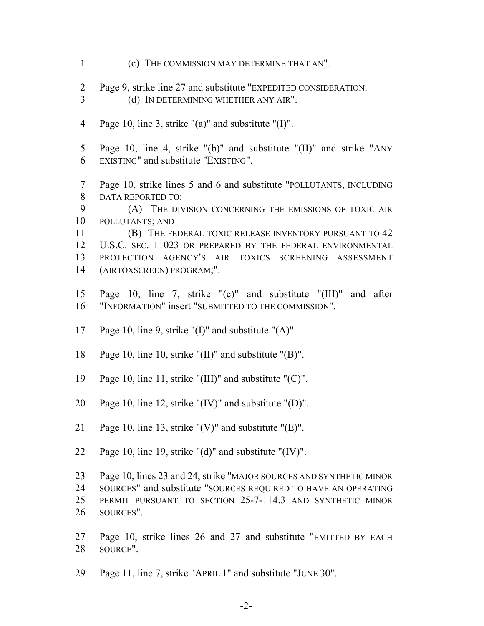- (c) THE COMMISSION MAY DETERMINE THAT AN".
- Page 9, strike line 27 and substitute "EXPEDITED CONSIDERATION.
- (d) IN DETERMINING WHETHER ANY AIR".
- Page 10, line 3, strike "(a)" and substitute "(I)".
- Page 10, line 4, strike "(b)" and substitute "(II)" and strike "ANY EXISTING" and substitute "EXISTING".
- Page 10, strike lines 5 and 6 and substitute "POLLUTANTS, INCLUDING DATA REPORTED TO:

 (A) THE DIVISION CONCERNING THE EMISSIONS OF TOXIC AIR POLLUTANTS; AND

**(B)** THE FEDERAL TOXIC RELEASE INVENTORY PURSUANT TO 42 U.S.C. SEC. 11023 OR PREPARED BY THE FEDERAL ENVIRONMENTAL PROTECTION AGENCY'S AIR TOXICS SCREENING ASSESSMENT (AIRTOXSCREEN) PROGRAM;".

- Page 10, line 7, strike "(c)" and substitute "(III)" and after "INFORMATION" insert "SUBMITTED TO THE COMMISSION".
- Page 10, line 9, strike "(I)" and substitute "(A)".
- Page 10, line 10, strike "(II)" and substitute "(B)".
- Page 10, line 11, strike "(III)" and substitute "(C)".
- Page 10, line 12, strike "(IV)" and substitute "(D)".
- 21 Page 10, line 13, strike " $(V)$ " and substitute " $(E)$ ".
- Page 10, line 19, strike "(d)" and substitute "(IV)".

 Page 10, lines 23 and 24, strike "MAJOR SOURCES AND SYNTHETIC MINOR SOURCES" and substitute "SOURCES REQUIRED TO HAVE AN OPERATING PERMIT PURSUANT TO SECTION 25-7-114.3 AND SYNTHETIC MINOR SOURCES".

- Page 10, strike lines 26 and 27 and substitute "EMITTED BY EACH SOURCE".
- Page 11, line 7, strike "APRIL 1" and substitute "JUNE 30".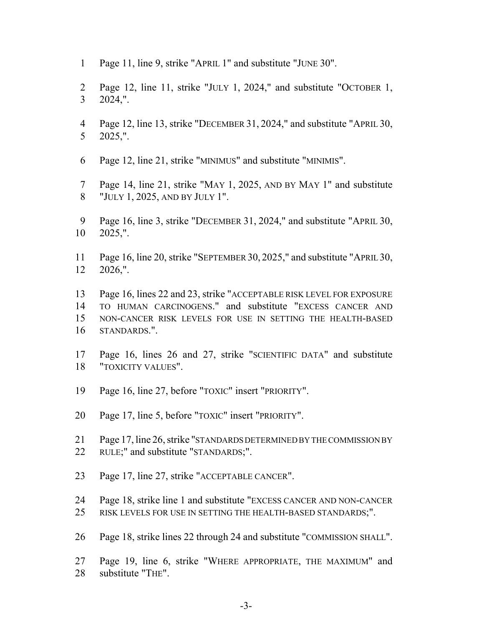- Page 11, line 9, strike "APRIL 1" and substitute "JUNE 30".
- Page 12, line 11, strike "JULY 1, 2024," and substitute "OCTOBER 1, 2024,".
- Page 12, line 13, strike "DECEMBER 31, 2024," and substitute "APRIL 30, 2025,".
- Page 12, line 21, strike "MINIMUS" and substitute "MINIMIS".
- Page 14, line 21, strike "MAY 1, 2025, AND BY MAY 1" and substitute "JULY 1, 2025, AND BY JULY 1".
- Page 16, line 3, strike "DECEMBER 31, 2024," and substitute "APRIL 30, 2025,".
- Page 16, line 20, strike "SEPTEMBER 30, 2025," and substitute "APRIL 30, 2026,".
- Page 16, lines 22 and 23, strike "ACCEPTABLE RISK LEVEL FOR EXPOSURE TO HUMAN CARCINOGENS." and substitute "EXCESS CANCER AND NON-CANCER RISK LEVELS FOR USE IN SETTING THE HEALTH-BASED STANDARDS.".
- Page 16, lines 26 and 27, strike "SCIENTIFIC DATA" and substitute "TOXICITY VALUES".
- Page 16, line 27, before "TOXIC" insert "PRIORITY".
- Page 17, line 5, before "TOXIC" insert "PRIORITY".
- Page 17, line 26, strike "STANDARDS DETERMINED BY THE COMMISSION BY RULE;" and substitute "STANDARDS;".
- Page 17, line 27, strike "ACCEPTABLE CANCER".
- Page 18, strike line 1 and substitute "EXCESS CANCER AND NON-CANCER RISK LEVELS FOR USE IN SETTING THE HEALTH-BASED STANDARDS;".
- Page 18, strike lines 22 through 24 and substitute "COMMISSION SHALL".
- Page 19, line 6, strike "WHERE APPROPRIATE, THE MAXIMUM" and substitute "THE".